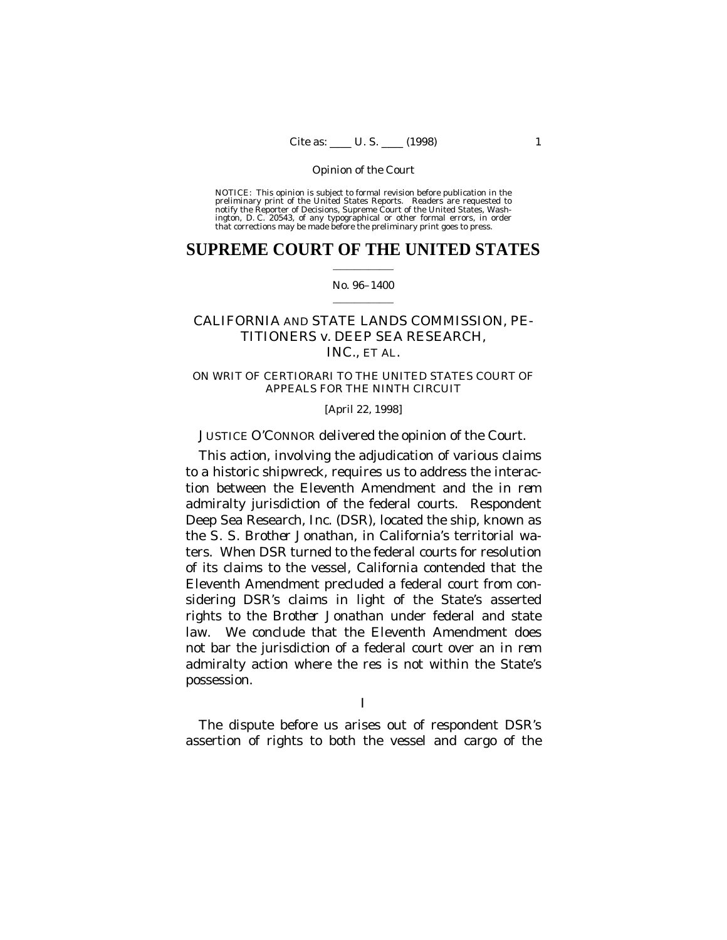NOTICE: This opinion is subject to formal revision before publication in the preliminary print of the United States Reports. Readers are requested to notify the Reporter of Decisions, Supreme Court of the United States, Wa

## **SUPREME COURT OF THE UNITED STATES**  $\mathcal{L}_\text{max}$  and  $\mathcal{L}_\text{max}$

#### No. 96–1400  $\mathcal{L}_\text{max}$  and  $\mathcal{L}_\text{max}$

# CALIFORNIA AND STATE LANDS COMMISSION, PE-TITIONERS *v.* DEEP SEA RESEARCH, INC., ET AL.

## ON WRIT OF CERTIORARI TO THE UNITED STATES COURT OF APPEALS FOR THE NINTH CIRCUIT

#### [April 22, 1998]

## JUSTICE O'CONNOR delivered the opinion of the Court.

This action, involving the adjudication of various claims to a historic shipwreck, requires us to address the interaction between the Eleventh Amendment and the *in rem* admiralty jurisdiction of the federal courts. Respondent Deep Sea Research, Inc. (DSR), located the ship, known as the *S. S. Brother Jonathan*, in California's territorial waters. When DSR turned to the federal courts for resolution of its claims to the vessel, California contended that the Eleventh Amendment precluded a federal court from considering DSR's claims in light of the State's asserted rights to the *Brother Jonathan* under federal and state law. We conclude that the Eleventh Amendment does not bar the jurisdiction of a federal court over an *in rem* admiralty action where the res is not within the State's possession.

The dispute before us arises out of respondent DSR's assertion of rights to both the vessel and cargo of the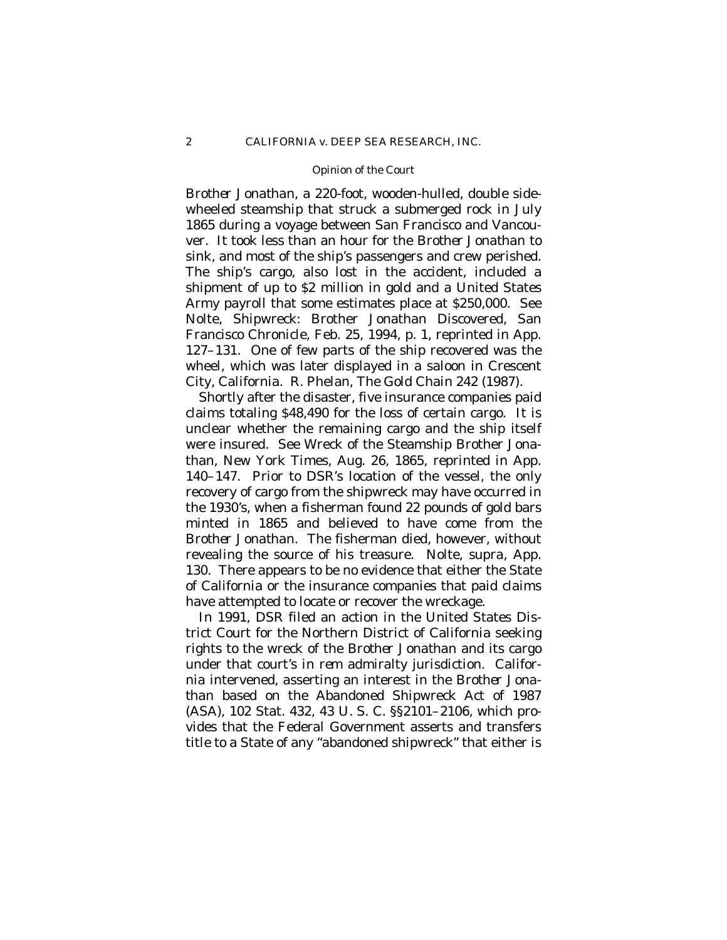*Brother Jonathan*, a 220-foot, wooden-hulled, double sidewheeled steamship that struck a submerged rock in July 1865 during a voyage between San Francisco and Vancouver. It took less than an hour for the *Brother Jonathan* to sink, and most of the ship's passengers and crew perished. The ship's cargo, also lost in the accident, included a shipment of up to \$2 million in gold and a United States Army payroll that some estimates place at \$250,000. See Nolte, Shipwreck: Brother Jonathan Discovered, San Francisco Chronicle, Feb. 25, 1994, p. 1, reprinted in App. 127–131. One of few parts of the ship recovered was the wheel, which was later displayed in a saloon in Crescent City, California. R. Phelan, The Gold Chain 242 (1987).

Shortly after the disaster, five insurance companies paid claims totaling \$48,490 for the loss of certain cargo. It is unclear whether the remaining cargo and the ship itself were insured. See Wreck of the Steamship Brother Jonathan, New York Times, Aug. 26, 1865, reprinted in App. 140–147. Prior to DSR's location of the vessel, the only recovery of cargo from the shipwreck may have occurred in the 1930's, when a fisherman found 22 pounds of gold bars minted in 1865 and believed to have come from the *Brother Jonathan*. The fisherman died, however, without revealing the source of his treasure. Nolte, *supra*, App. 130. There appears to be no evidence that either the State of California or the insurance companies that paid claims have attempted to locate or recover the wreckage.

In 1991, DSR filed an action in the United States District Court for the Northern District of California seeking rights to the wreck of the *Brother Jonathan* and its cargo under that court's *in rem* admiralty jurisdiction. California intervened, asserting an interest in the *Brother Jonathan* based on the Abandoned Shipwreck Act of 1987 (ASA), 102 Stat. 432, 43 U. S. C. §§2101–2106, which provides that the Federal Government asserts and transfers title to a State of any "abandoned shipwreck" that either is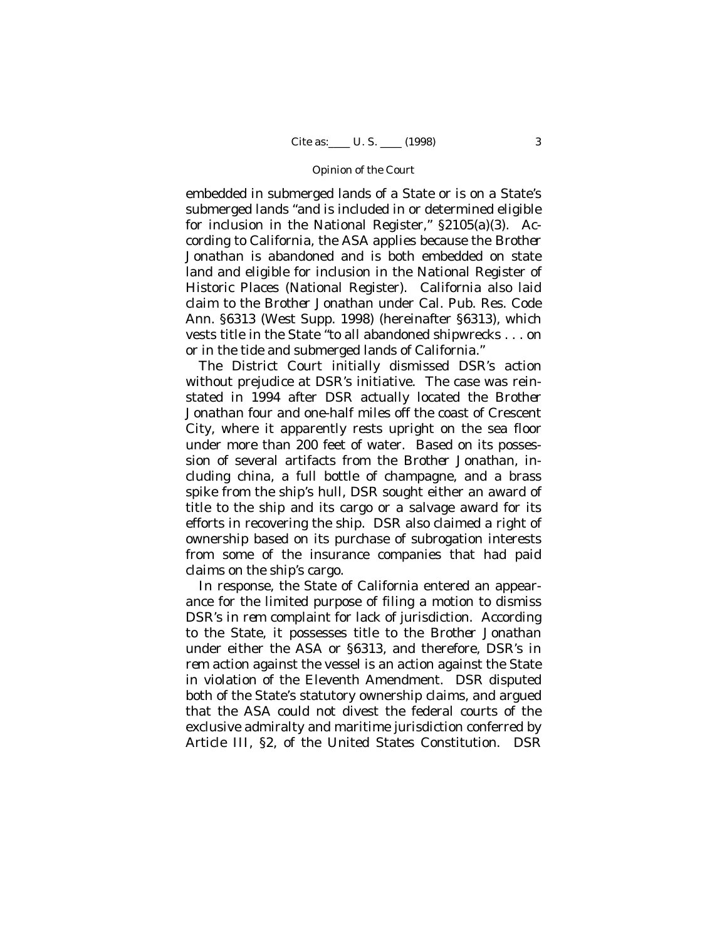embedded in submerged lands of a State or is on a State's submerged lands "and is included in or determined eligible for inclusion in the National Register," §2105(a)(3). According to California, the ASA applies because the *Brother Jonathan* is abandoned and is both embedded on state land and eligible for inclusion in the National Register of Historic Places (National Register). California also laid claim to the *Brother Jonathan* under Cal. Pub. Res. Code Ann. §6313 (West Supp. 1998) (hereinafter §6313), which vests title in the State "to all abandoned shipwrecks . . . on or in the tide and submerged lands of California."

The District Court initially dismissed DSR's action without prejudice at DSR's initiative. The case was reinstated in 1994 after DSR actually located the *Brother Jonathan* four and one-half miles off the coast of Crescent City, where it apparently rests upright on the sea floor under more than 200 feet of water. Based on its possession of several artifacts from the *Brother Jonathan*, including china, a full bottle of champagne, and a brass spike from the ship's hull, DSR sought either an award of title to the ship and its cargo or a salvage award for its efforts in recovering the ship. DSR also claimed a right of ownership based on its purchase of subrogation interests from some of the insurance companies that had paid claims on the ship's cargo.

In response, the State of California entered an appearance for the limited purpose of filing a motion to dismiss DSR's *in rem* complaint for lack of jurisdiction. According to the State, it possesses title to the *Brother Jonathan* under either the ASA or §6313, and therefore, DSR's *in rem* action against the vessel is an action against the State in violation of the Eleventh Amendment. DSR disputed both of the State's statutory ownership claims, and argued that the ASA could not divest the federal courts of the exclusive admiralty and maritime jurisdiction conferred by Article III, §2, of the United States Constitution. DSR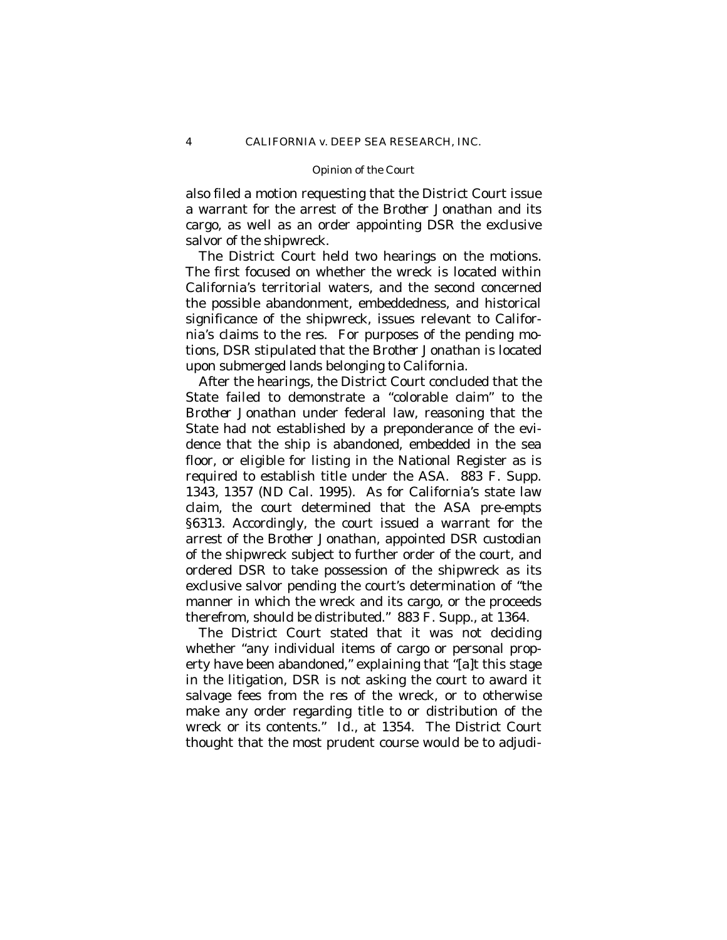also filed a motion requesting that the District Court issue a warrant for the arrest of the *Brother Jonathan* and its cargo, as well as an order appointing DSR the exclusive salvor of the shipwreck.

The District Court held two hearings on the motions. The first focused on whether the wreck is located within California's territorial waters, and the second concerned the possible abandonment, embeddedness, and historical significance of the shipwreck, issues relevant to California's claims to the res. For purposes of the pending motions, DSR stipulated that the *Brother Jonathan* is located upon submerged lands belonging to California.

After the hearings, the District Court concluded that the State failed to demonstrate a "colorable claim" to the *Brother Jonathan* under federal law, reasoning that the State had not established by a preponderance of the evidence that the ship is abandoned, embedded in the sea floor, or eligible for listing in the National Register as is required to establish title under the ASA. 883 F. Supp. 1343, 1357 (ND Cal. 1995). As for California's state law claim, the court determined that the ASA pre-empts §6313. Accordingly, the court issued a warrant for the arrest of the *Brother Jonathan*, appointed DSR custodian of the shipwreck subject to further order of the court, and ordered DSR to take possession of the shipwreck as its exclusive salvor pending the court's determination of "the manner in which the wreck and its cargo, or the proceeds therefrom, should be distributed." 883 F. Supp., at 1364.

The District Court stated that it was not deciding whether "any individual items of cargo or personal property have been abandoned," explaining that "[a]t this stage in the litigation, DSR is not asking the court to award it salvage fees from the *res* of the wreck, or to otherwise make any order regarding title to or distribution of the wreck or its contents." *Id.*, at 1354. The District Court thought that the most prudent course would be to adjudi-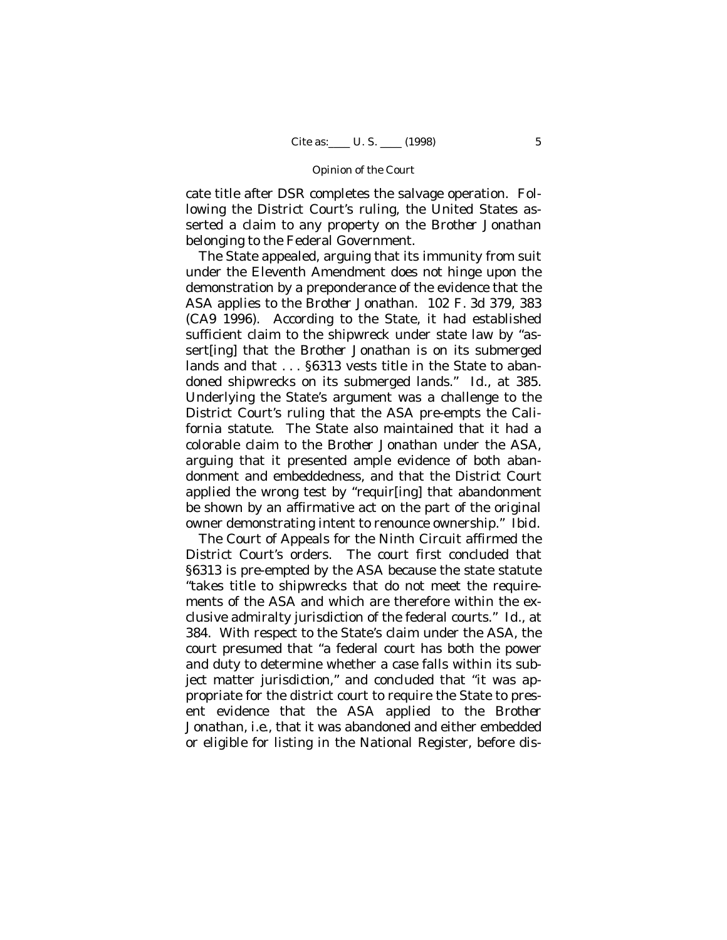cate title after DSR completes the salvage operation. Following the District Court's ruling, the United States asserted a claim to any property on the *Brother Jonathan* belonging to the Federal Government.

The State appealed, arguing that its immunity from suit under the Eleventh Amendment does not hinge upon the demonstration by a preponderance of the evidence that the ASA applies to the *Brother Jonathan*. 102 F. 3d 379, 383 (CA9 1996). According to the State, it had established sufficient claim to the shipwreck under state law by "assert[ing] that the *Brother Jonathan* is on its submerged lands and that . . . §6313 vests title in the State to abandoned shipwrecks on its submerged lands." *Id.*, at 385. Underlying the State's argument was a challenge to the District Court's ruling that the ASA pre-empts the California statute. The State also maintained that it had a colorable claim to the *Brother Jonathan* under the ASA, arguing that it presented ample evidence of both abandonment and embeddedness, and that the District Court applied the wrong test by "requir[ing] that abandonment be shown by an affirmative act on the part of the original owner demonstrating intent to renounce ownership." *Ibid.*

The Court of Appeals for the Ninth Circuit affirmed the District Court's orders. The court first concluded that §6313 is pre-empted by the ASA because the state statute "takes title to shipwrecks that do not meet the requirements of the ASA and which are therefore within the exclusive admiralty jurisdiction of the federal courts." *Id.,* at 384. With respect to the State's claim under the ASA, the court presumed that "a federal court has both the power and duty to determine whether a case falls within its subject matter jurisdiction," and concluded that "it was appropriate for the district court to require the State to present evidence that the ASA applied to the *Brother Jonathan*, *i.e.*, that it was abandoned and either embedded or eligible for listing in the National Register, before dis-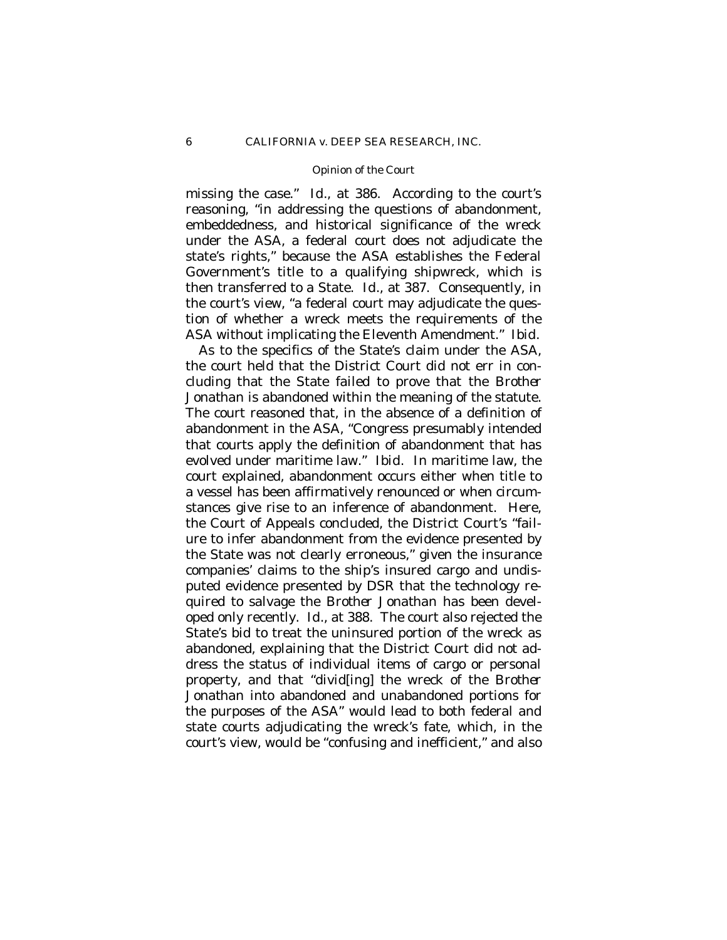missing the case." *Id.*, at 386. According to the court's reasoning, "in addressing the questions of abandonment, embeddedness, and historical significance of the wreck under the ASA, a federal court does not adjudicate the state's rights," because the ASA establishes the Federal Government's title to a qualifying shipwreck, which is then transferred to a State. *Id.*, at 387. Consequently, in the court's view, "a federal court may adjudicate the question of whether a wreck meets the requirements of the ASA without implicating the Eleventh Amendment." *Ibid.*

As to the specifics of the State's claim under the ASA, the court held that the District Court did not err in concluding that the State failed to prove that the *Brother Jonathan* is abandoned within the meaning of the statute. The court reasoned that, in the absence of a definition of abandonment in the ASA, "Congress presumably intended that courts apply the definition of abandonment that has evolved under maritime law." *Ibid.* In maritime law, the court explained, abandonment occurs either when title to a vessel has been affirmatively renounced or when circumstances give rise to an inference of abandonment. Here, the Court of Appeals concluded, the District Court's "failure to infer abandonment from the evidence presented by the State was not clearly erroneous," given the insurance companies' claims to the ship's insured cargo and undisputed evidence presented by DSR that the technology required to salvage the *Brother Jonathan* has been developed only recently. *Id.*, at 388. The court also rejected the State's bid to treat the uninsured portion of the wreck as abandoned, explaining that the District Court did not address the status of individual items of cargo or personal property, and that "divid[ing] the wreck of the *Brother Jonathan* into abandoned and unabandoned portions for the purposes of the ASA" would lead to both federal and state courts adjudicating the wreck's fate, which, in the court's view, would be "confusing and inefficient," and also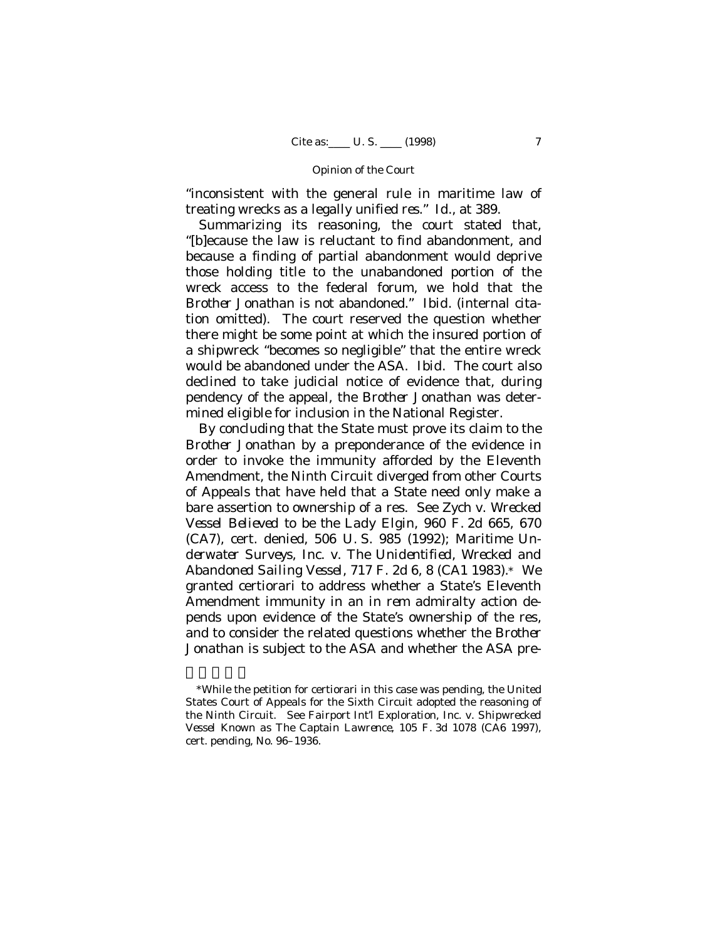"inconsistent with the general rule in maritime law of treating wrecks as a legally unified *res*." *Id.*, at 389.

Summarizing its reasoning, the court stated that, "[b]ecause the law is reluctant to find abandonment, and because a finding of partial abandonment would deprive those holding title to the unabandoned portion of the wreck access to the federal forum, we hold that the *Brother Jonathan* is not abandoned." *Ibid.* (internal citation omitted). The court reserved the question whether there might be some point at which the insured portion of a shipwreck "becomes so negligible" that the entire wreck would be abandoned under the ASA. *Ibid.* The court also declined to take judicial notice of evidence that, during pendency of the appeal, the *Brother Jonathan* was determined eligible for inclusion in the National Register.

By concluding that the State must prove its claim to the *Brother Jonathan* by a preponderance of the evidence in order to invoke the immunity afforded by the Eleventh Amendment, the Ninth Circuit diverged from other Courts of Appeals that have held that a State need only make a bare assertion to ownership of a res. See *Zych* v. *Wrecked Vessel Believed to be the Lady Elgin*, 960 F. 2d 665, 670 (CA7), cert. denied, 506 U. S. 985 (1992); *Maritime Underwater Surveys, Inc.* v. *The Unidentified, Wrecked and Abandoned Sailing Vessel*, 717 F. 2d 6, 8 (CA1 1983).\* We granted certiorari to address whether a State's Eleventh Amendment immunity in an *in rem* admiralty action depends upon evidence of the State's ownership of the res, and to consider the related questions whether the *Brother Jonathan* is subject to the ASA and whether the ASA pre-

 $\overline{\phantom{a}}$ 

<sup>\*</sup>While the petition for certiorari in this case was pending, the United States Court of Appeals for the Sixth Circuit adopted the reasoning of the Ninth Circuit. See *Fairport Int'l Exploration, Inc.* v. *Shipwrecked Vessel Known as The Captain Lawrence*, 105 F. 3d 1078 (CA6 1997), cert. pending, No. 96–1936.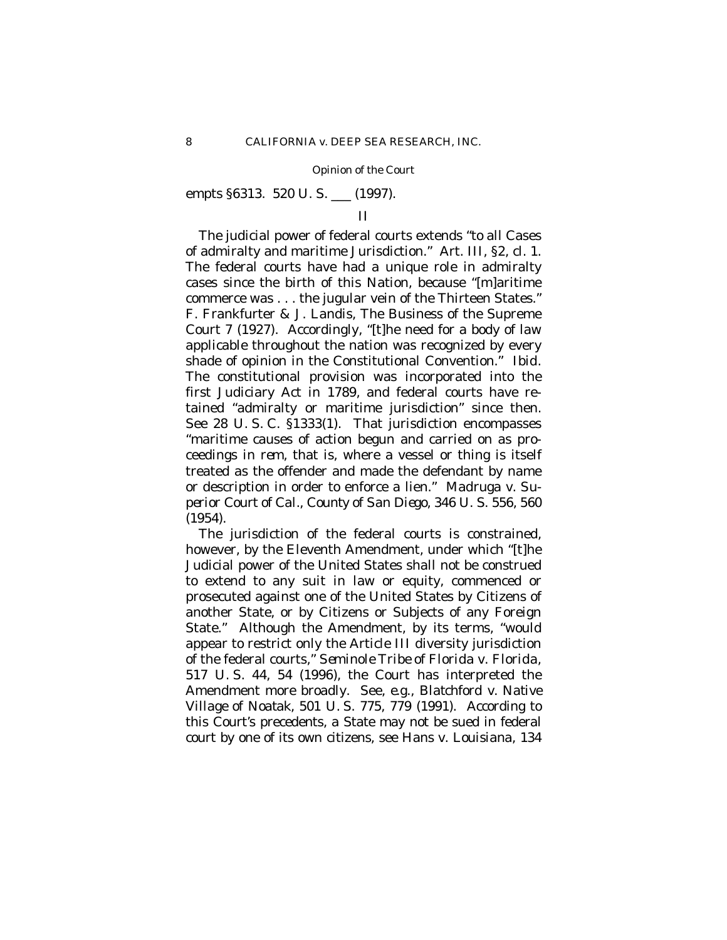empts §6313. 520 U. S. \_\_\_ (1997).

## II

The judicial power of federal courts extends "to all Cases of admiralty and maritime Jurisdiction." Art. III, §2, cl. 1. The federal courts have had a unique role in admiralty cases since the birth of this Nation, because "[m]aritime commerce was . . . the jugular vein of the Thirteen States." F. Frankfurter & J. Landis, The Business of the Supreme Court 7 (1927). Accordingly, "[t]he need for a body of law applicable throughout the nation was recognized by every shade of opinion in the Constitutional Convention." *Ibid.* The constitutional provision was incorporated into the first Judiciary Act in 1789, and federal courts have retained "admiralty or maritime jurisdiction" since then. See 28 U. S. C. §1333(1). That jurisdiction encompasses "maritime causes of action begun and carried on as proceedings *in rem*, that is, where a vessel or thing is itself treated as the offender and made the defendant by name or description in order to enforce a lien." *Madruga* v. *Superior Court of Cal., County of San Diego,* 346 U. S. 556, 560 (1954).

The jurisdiction of the federal courts is constrained, however, by the Eleventh Amendment, under which "[t]he Judicial power of the United States shall not be construed to extend to any suit in law or equity, commenced or prosecuted against one of the United States by Citizens of another State, or by Citizens or Subjects of any Foreign State." Although the Amendment, by its terms, "would appear to restrict only the Article III diversity jurisdiction of the federal courts," *Seminole Tribe of Florida* v. *Florida*, 517 U. S. 44, 54 (1996), the Court has interpreted the Amendment more broadly. See, *e.g.*, *Blatchford* v. *Native Village of Noatak,* 501 U. S. 775, 779 (1991). According to this Court's precedents, a State may not be sued in federal court by one of its own citizens, see *Hans* v. *Louisiana,* 134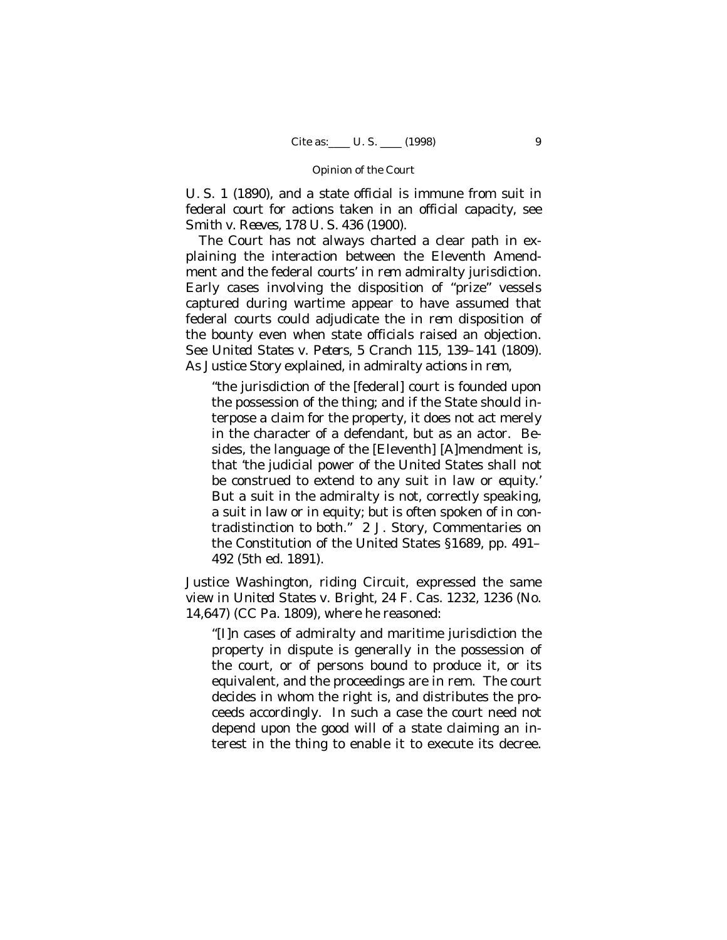U. S. 1 (1890), and a state official is immune from suit in federal court for actions taken in an official capacity, see *Smith* v. *Reeves,* 178 U. S. 436 (1900).

The Court has not always charted a clear path in explaining the interaction between the Eleventh Amendment and the federal courts' *in rem* admiralty jurisdiction. Early cases involving the disposition of "prize" vessels captured during wartime appear to have assumed that federal courts could adjudicate the *in rem* disposition of the bounty even when state officials raised an objection. See *United States* v. *Peters,* 5 Cranch 115, 139–141 (1809). As Justice Story explained, in admiralty actions *in rem*,

"the jurisdiction of the [federal] court is founded upon the possession of the thing; and if the State should interpose a claim for the property, it does not act merely in the character of a defendant, but as an actor. Besides, the language of the [Eleventh] [A]mendment is, that 'the judicial power of the United States shall not be construed to extend to any suit *in law or equity*.' But a suit in the admiralty is not, correctly speaking, a suit in law or in equity; but is often spoken of in contradistinction to both." 2 J. Story, Commentaries on the Constitution of the United States §1689, pp. 491– 492 (5th ed. 1891).

Justice Washington, riding Circuit, expressed the same view in *United States* v. *Bright*, 24 F. Cas. 1232, 1236 (No. 14,647) (CC Pa. 1809), where he reasoned:

"[I]n cases of admiralty and maritime jurisdiction the property in dispute is generally in the possession of the court, or of persons bound to produce it, or its equivalent, and the proceedings are in rem. The court decides in whom the right is, and distributes the proceeds accordingly. In such a case the court need not depend upon the good will of a state claiming an interest in the thing to enable it to execute its decree.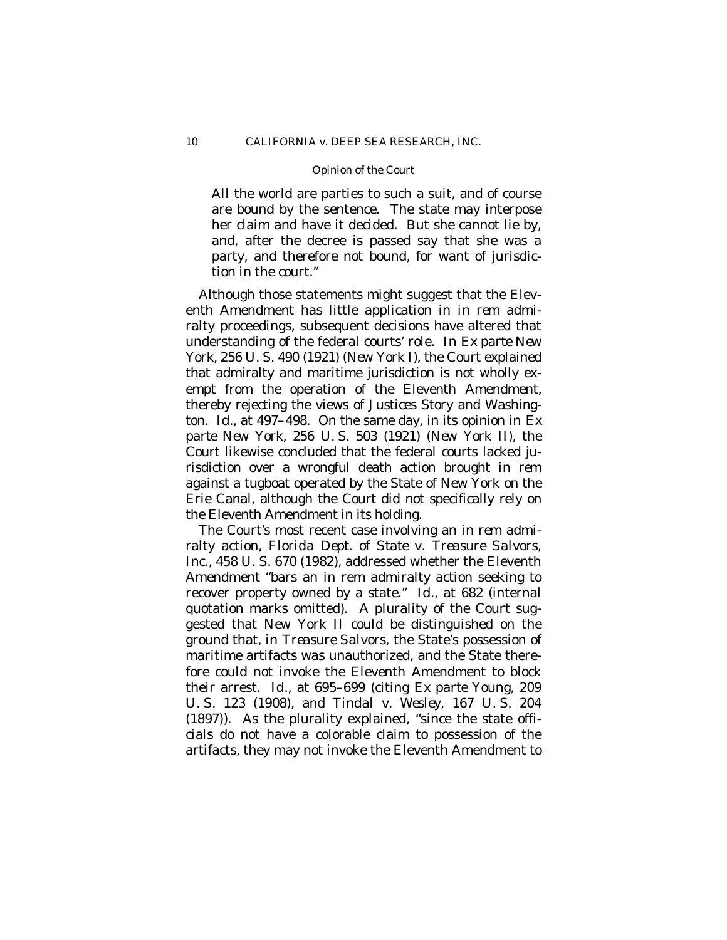All the world are parties to such a suit, and of course are bound by the sentence. The state may interpose her claim and have it decided. But she cannot lie by, and, after the decree is passed say that she was a party, and therefore not bound, for want of jurisdiction in the court."

Although those statements might suggest that the Eleventh Amendment has little application in *in rem* admiralty proceedings, subsequent decisions have altered that understanding of the federal courts' role. In *Ex parte New York,* 256 U. S. 490 (1921) *(New York I)*, the Court explained that admiralty and maritime jurisdiction is not wholly exempt from the operation of the Eleventh Amendment, thereby rejecting the views of Justices Story and Washington. *Id.*, at 497–498. On the same day, in its opinion in *Ex parte New York,* 256 U. S. 503 (1921) *(New York II)*, the Court likewise concluded that the federal courts lacked jurisdiction over a wrongful death action brought *in rem* against a tugboat operated by the State of New York on the Erie Canal, although the Court did not specifically rely on the Eleventh Amendment in its holding.

The Court's most recent case involving an *in rem* admiralty action, *Florida Dept. of State* v. *Treasure Salvors, Inc.,* 458 U. S. 670 (1982), addressed whether the Eleventh Amendment "bars an in rem admiralty action seeking to recover property owned by a state." *Id.*, at 682 (internal quotation marks omitted). A plurality of the Court suggested that *New York II* could be distinguished on the ground that, in *Treasure Salvors*, the State's possession of maritime artifacts was unauthorized, and the State therefore could not invoke the Eleventh Amendment to block their arrest. *Id.*, at 695–699 (citing *Ex parte Young,* 209 U. S. 123 (1908), and *Tindal* v. *Wesley,* 167 U. S. 204 (1897)). As the plurality explained, "since the state officials do not have a colorable claim to possession of the artifacts, they may not invoke the Eleventh Amendment to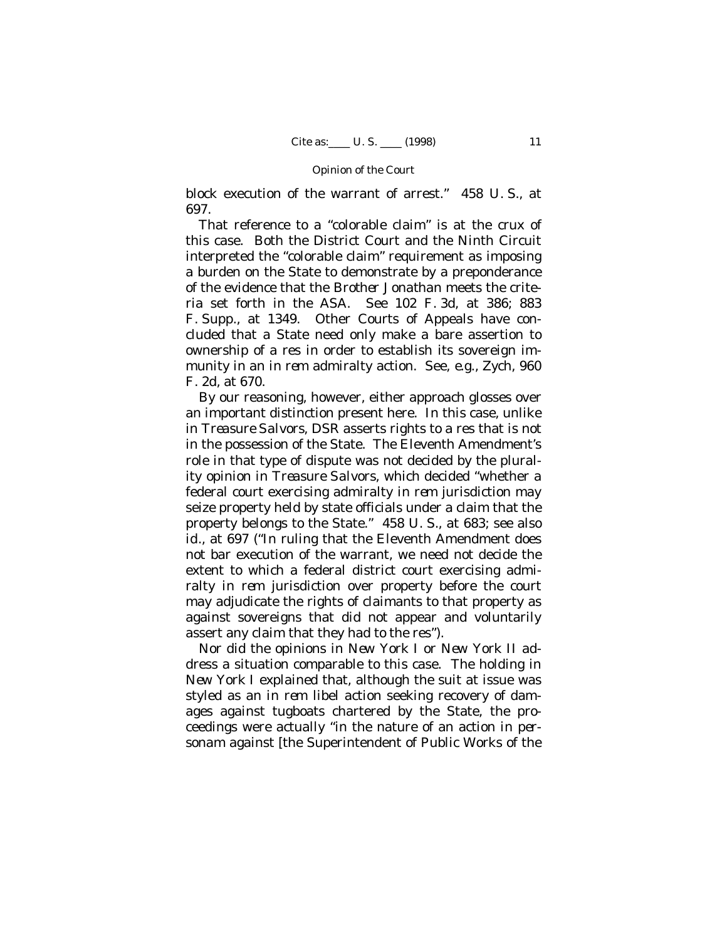block execution of the warrant of arrest." 458 U. S., at 697.

That reference to a "colorable claim" is at the crux of this case. Both the District Court and the Ninth Circuit interpreted the "colorable claim" requirement as imposing a burden on the State to demonstrate by a preponderance of the evidence that the *Brother Jonathan* meets the criteria set forth in the ASA. See 102 F. 3d, at 386; 883 F. Supp., at 1349. Other Courts of Appeals have concluded that a State need only make a bare assertion to ownership of a res in order to establish its sovereign immunity in an *in rem* admiralty action. See, *e.g.*, *Zych*, 960 F. 2d, at 670.

By our reasoning, however, either approach glosses over an important distinction present here. In this case, unlike in *Treasure Salvors*, DSR asserts rights to a res that is not in the possession of the State. The Eleventh Amendment's role in that type of dispute was not decided by the plurality opinion in *Treasure Salvors*, which decided "whether a federal court exercising admiralty *in rem* jurisdiction may seize property held by state officials under a claim that the property belongs to the State." 458 U. S., at 683; see also *id.*, at 697 ("In ruling that the Eleventh Amendment does not bar execution of the warrant, we need not decide the extent to which a federal district court exercising admiralty *in rem* jurisdiction over property before the court may adjudicate the rights of claimants to that property as against sovereigns that did not appear and voluntarily assert any claim that they had to the res").

Nor did the opinions in *New York I* or *New York II* address a situation comparable to this case. The holding in *New York I* explained that, although the suit at issue was styled as an *in rem* libel action seeking recovery of damages against tugboats chartered by the State, the proceedings were actually "in the nature of an action *in personam* against [the Superintendent of Public Works of the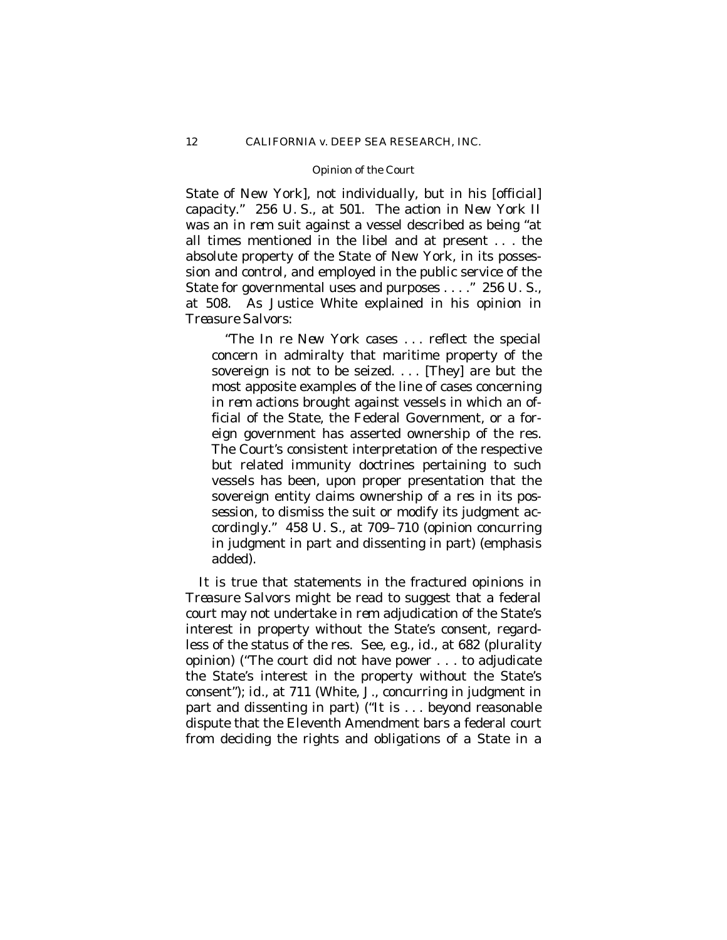State of New York], not individually, but in his [official] capacity." 256 U. S., at 501. The action in *New York II* was an *in rem* suit against a vessel described as being "at all times mentioned in the libel and at present . . . the absolute property of the State of New York, in its possession and control, and employed in the public service of the State for governmental uses and purposes . . . ." 256 U. S., at 508. As Justice White explained in his opinion in *Treasure Salvors:*

"The *In re New York* cases . . . reflect the special concern in admiralty that maritime property of the sovereign is not to be seized. . . . [They] are but the most apposite examples of the line of cases concerning *in rem* actions brought against vessels in which an official of the State, the Federal Government, or a foreign government has asserted ownership of the res. The Court's consistent interpretation of the respective but related immunity doctrines pertaining to such vessels has been, upon proper presentation that the sovereign entity claims ownership *of a res in its possession*, to dismiss the suit or modify its judgment accordingly." 458 U. S., at 709–710 (opinion concurring in judgment in part and dissenting in part) (emphasis added).

It is true that statements in the fractured opinions in *Treasure Salvors* might be read to suggest that a federal court may not undertake *in rem* adjudication of the State's interest in property without the State's consent, regardless of the status of the res. See, *e.g.*, *id.,* at 682 (plurality opinion) ("The court did not have power . . . to adjudicate the State's interest in the property without the State's consent"); *id.*, at 711 (White, J., concurring in judgment in part and dissenting in part) ("It is . . . beyond reasonable dispute that the Eleventh Amendment bars a federal court from deciding the rights and obligations of a State in a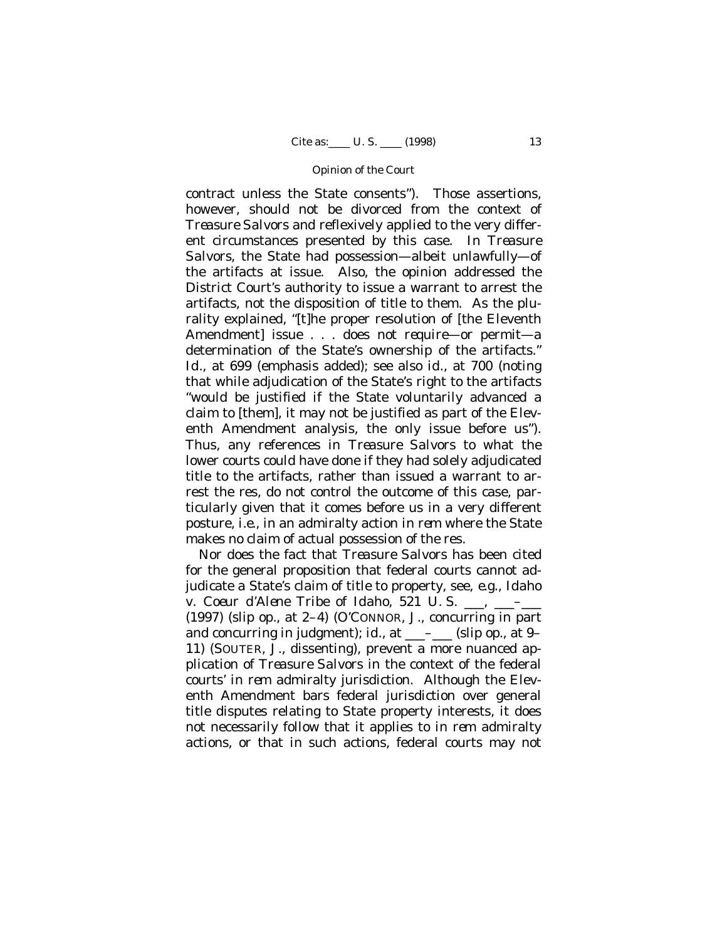contract unless the State consents"). Those assertions, however, should not be divorced from the context of *Treasure Salvors* and reflexively applied to the very different circumstances presented by this case. In *Treasure Salvors*, the State had possession— albeit unlawfully— of the artifacts at issue. Also, the opinion addressed the District Court's authority to issue a warrant to arrest the artifacts, not the disposition of title to them. As the plurality explained, "[t]he proper resolution of [the Eleventh Amendment] issue . . . does not *require*— or permit— a determination of the State's ownership of the artifacts." *Id.,* at 699 (emphasis added); see also *id.*, at 700 (noting that while adjudication of the State's right to the artifacts "would be justified if the State voluntarily advanced a claim to [them], it may not be justified as part of the Eleventh Amendment analysis, the only issue before us"). Thus, any references in *Treasure Salvors* to what the lower courts could have done if they had solely adjudicated title to the artifacts, rather than issued a warrant to arrest the res, do not control the outcome of this case, particularly given that it comes before us in a very different posture, *i.e.*, in an admiralty action *in rem* where the State makes no claim of actual possession of the res.

Nor does the fact that *Treasure Salvors* has been cited for the general proposition that federal courts cannot adjudicate a State's claim of title to property, see, *e.g.*, *Idaho* v. *Coeur d'Alene Tribe of Idaho*, 521 U. S. \_\_\_, \_\_\_–\_\_\_ (1997) (slip op., at 2–4) (O'CONNOR, J., concurring in part and concurring in judgment); *id.*, at  $\_\_$ – $\_\_$  (slip op., at 9– 11) (SOUTER, J., dissenting), prevent a more nuanced application of *Treasure Salvors* in the context of the federal courts' *in rem* admiralty jurisdiction. Although the Eleventh Amendment bars federal jurisdiction over general title disputes relating to State property interests, it does not necessarily follow that it applies to *in rem* admiralty actions, or that in such actions, federal courts may not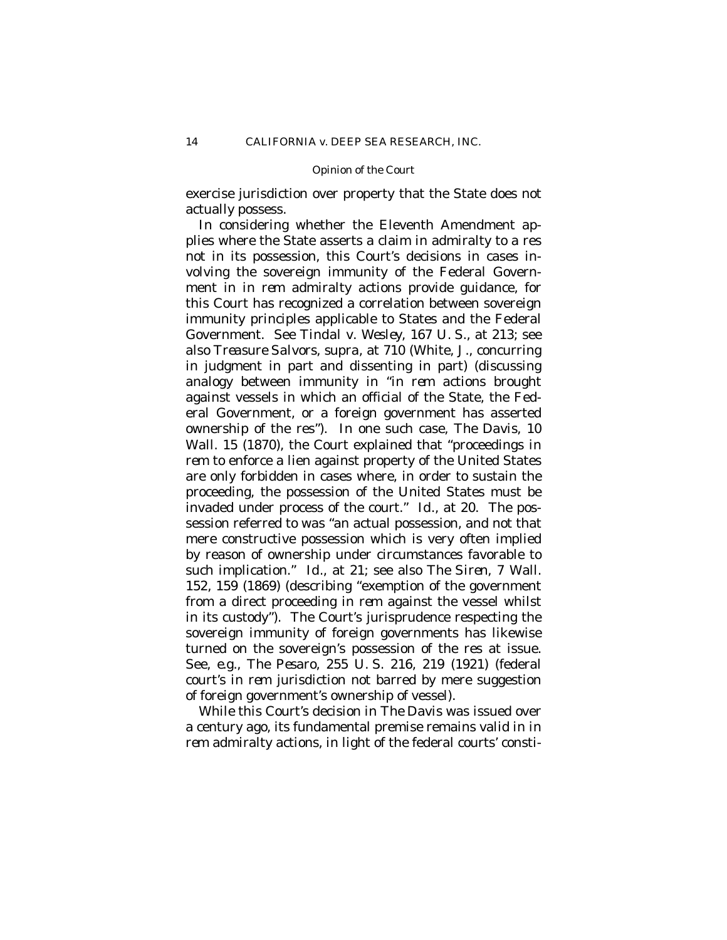exercise jurisdiction over property that the State does not actually possess.

In considering whether the Eleventh Amendment applies where the State asserts a claim in admiralty to a res not in its possession, this Court's decisions in cases involving the sovereign immunity of the Federal Government in *in rem* admiralty actions provide guidance, for this Court has recognized a correlation between sovereign immunity principles applicable to States and the Federal Government. See *Tindal* v. *Wesley,* 167 U. S., at 213; see also *Treasure Salvors*, *supra,* at 710 (White, J., concurring in judgment in part and dissenting in part) (discussing analogy between immunity in "*in rem* actions brought against vessels in which an official of the State, the Federal Government, or a foreign government has asserted ownership of the res"). In one such case, *The Davis,* 10 Wall. 15 (1870), the Court explained that "proceedings *in rem* to enforce a lien against property of the United States are only forbidden in cases where, in order to sustain the proceeding, the possession of the United States must be invaded under process of the court." *Id.*, at 20. The possession referred to was "an actual possession, and not that mere constructive possession which is very often implied by reason of ownership under circumstances favorable to such implication." *Id.*, at 21; see also *The Siren,* 7 Wall. 152, 159 (1869) (describing "exemption of the government from a direct proceeding *in rem* against the vessel whilst in its custody"). The Court's jurisprudence respecting the sovereign immunity of foreign governments has likewise turned on the sovereign's possession of the res at issue. See, *e.g.*, *The Pesaro,* 255 U. S. 216, 219 (1921) (federal court's *in rem* jurisdiction not barred by mere suggestion of foreign government's ownership of vessel).

 While this Court's decision in *The Davis* was issued over a century ago, its fundamental premise remains valid in *in rem* admiralty actions, in light of the federal courts' consti-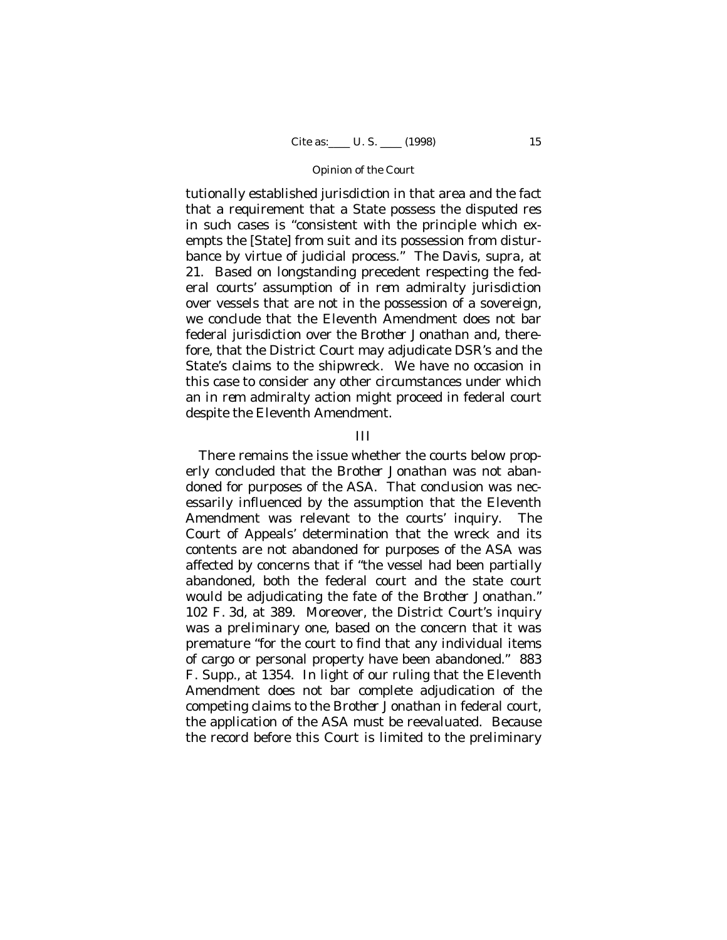tutionally established jurisdiction in that area and the fact that a requirement that a State possess the disputed res in such cases is "consistent with the principle which exempts the [State] from suit and its possession from disturbance by virtue of judicial process." *The Davis*, *supra*, at 21. Based on longstanding precedent respecting the federal courts' assumption of *in rem* admiralty jurisdiction over vessels that are not in the possession of a sovereign, we conclude that the Eleventh Amendment does not bar federal jurisdiction over the *Brother Jonathan* and, therefore, that the District Court may adjudicate DSR's and the State's claims to the shipwreck. We have no occasion in this case to consider any other circumstances under which an *in rem* admiralty action might proceed in federal court despite the Eleventh Amendment.

## III

There remains the issue whether the courts below properly concluded that the *Brother Jonathan* was not abandoned for purposes of the ASA. That conclusion was necessarily influenced by the assumption that the Eleventh Amendment was relevant to the courts' inquiry. The Court of Appeals' determination that the wreck and its contents are not abandoned for purposes of the ASA was affected by concerns that if "the vessel had been partially abandoned, both the federal court and the state court would be adjudicating the fate of the *Brother Jonathan*." 102 F. 3d, at 389. Moreover, the District Court's inquiry was a preliminary one, based on the concern that it was premature "for the court to find that any individual items of cargo or personal property have been abandoned." 883 F. Supp., at 1354. In light of our ruling that the Eleventh Amendment does not bar complete adjudication of the competing claims to the *Brother Jonathan* in federal court, the application of the ASA must be reevaluated. Because the record before this Court is limited to the preliminary